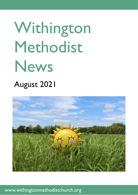# Withington Methodist News

# August 2021



www.withingtonmethodistchurch.org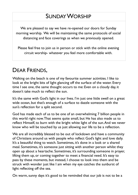# SUNDAY WORSHIP

We are pleased to say we have re-opened our doors for Sunday morning worship. We will be maintaining the same protocols of social distancing and face coverings as when we previously opened.

Please feel free to join us in person or stick with the online evening circuit worship- whatever you feel more comfortable with.

### DEAR FRIENDS,

Walking on the beach is one of my favourite summer activities. I like to look at the bright bits of light glancing off the surface of the water. Every time I see one, the same thought occurs to me: Even on a cloudy day, it doesn't take much to reflect the sun.

It's the same with God's light in our lives. I'm just one little swell on a great wide ocean, but that's enough of a surface to dazzle someone with the sun's reflection for a split second.

God has made each of us to be one of an overwhelming 7 billion people in this world right now. That seems quite small, but He has also made us to reflect Himself, to burn with the bright white light of the sun. And we never know who will be touched by us just allowing our life to be a reflection.

We are all incredibly blessed to be out of lockdown and have a community of Christians around us with people who reflect God's light and love daily. It's a beautiful thing to watch. Sometimes, it's done in a look or a shared meal. Sometimes, it's someone just sitting with another person whilst they open up about a heartache. Sometimes, it's surrounding someone in prayer, lifting them up, or coming together to meet a financial need. It's easy to pass by these moments, but instead, I choose to look into them and be struck with wonder just like I am when my eye catches the sunburst of light reflecting off the sea.

On warm, sunny days it's good to be reminded that our job is not to be a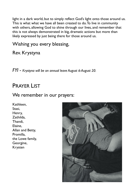light in a dark world, but to simply reflect God's light onto those around us. This is what what we have all been created to do. To live in community with others, allowing God to shine through our lives, and remember that this is not always demonstrated in big, dramatic actions but more than likely expressed by just being there for those around us.

### Wishing you every blessing,

Rev. Krystyna

*FYI - Krystyna will be on annual leave August 6-August 20.*

### PRAYER LIST

#### We remember in our prayers:

Kathleen, Stasi, Henry, Zathilda, Thandi, Elaine, Allan and Betty, Promilla, the Lowe family, Georgine, Krysten

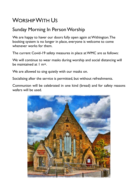# WORSHIP WITH US

### Sunday Morning In Person Worship

We are happy to haver our doors fully open again at Withington. The booking system is no longer in place, everyone is welcome to come whenever works for them.

The current Covid-19 safety measures in place at WMC are as follows:

We will continue to wear masks during worship and social distancing will be maintained at 1 m+.

We are allowed to sing quietly with our masks on.

Socialising after the service is permitted, but without refreshments.

Communion will be celebrated in one kind (bread) and for safety reasons wafers will be used.

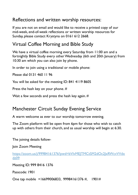### Reflections and written worship resources:

If you are not on email and would like to receive a printed copy of our mid-week, end-of-week reflections or written worship resources for Sunday, please contact Krystyna on 0161 612 2668.

### Virtual Coffee Morning and Bible Study

We have a virtual coffee morning every Saturday from 11:00 am and a fortnightly Bible Study every other Wednesday (6th and 20th January) from 10:30 am which you can also join by phone.

In order to join using a traditional or mobile phone:

Please dial 0131 460 11 96

You will be asked for the meeting ID: 841 4119 8605

Press the hash key on your phone. #

Wait a few seconds and press the hash key again.  $#$ 

### Manchester Circuit Sunday Evening Service

A warm welcome as ever to our worship tomorrow evening.

The Zoom platform will be open from 6pm for those who wish to catch up with others from their church, and as usual worship will begin at 6:30.

The joining details follow-

Join Zoom Meeting

[https://zoom.us/j/99984161376?pwd=bVIvMEJTMCtSM2dOc2JxRWcvVVdx](https://zoom.us/j/99984161376?pwd=bVIvMEJTMCtSM2dOc2JxRWcvVVdxdz09) [dz09](https://zoom.us/j/99984161376?pwd=bVIvMEJTMCtSM2dOc2JxRWcvVVdxdz09)

Meeting ID: 999 8416 1376

Passcode: 1901

One tap mobile +16699006833, 99984161376 #, 1901#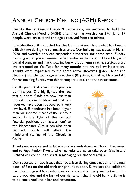# ANNUAL CHURCH MEETING (AGM) REPORT

Despite the continuing Covid-19 restrictions, we managed to hold the Annual Church Meeting (AGM) after morning worship on 27th June. 17 people were present and apologies received from ten others.

John Shuttleworth reported for the Church Stewards on what has been a difficult time during the coronavirus crisis. Our building was closed in March 2020 and worship services suspended altogether for some time. Sunday morning worship was resumed in September in the Ground Floor Hall, with social-distancing and mask-wearing but without hymn-singing. Services were live-streamed on YouTube for many months and are still available there. Thanks were expressed to the three active stewards (John, Helen and Heather) and the four regular preachers (Krystyna, Caroline, Nick and Al) for maintaining Sunday worship through the crisis and the restrictions.

Giselle presented a written report on our finances. She highlighted the fact that our total funds are now less than the value of our building and that our reserves have been reduced to a very low level. Expenditure has been higher than our income in each of the last four years. In the light of this parlous financial position, our 'assessment' to the Manchester Circuit has also been reduced, which will affect the ministerial staffing of the Circuit in future.



Thanks were expressed to Giselle as she stands down as Church Treasurer, and to Papa Andoh-Kweku who has volunteered to take over. Giselle and Richard will continue to assist in managing our financial affairs.

Don reported on two issues that had arisen during construction of the new block of flats on the old bank car park next door. Surveyors and solicitors have been engaged to resolve issues relating to the party wall between the two properties and the loss of our rights to light. The old bank building is to be converted into a bar and restaurant.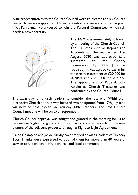Nine representatives to the Church Council were re-elected and six Church Stewards were re-appointed. Other office-holders were confirmed in post. Nick Palfreyman volunteered to join the Pastoral Committee, which still needs a new secretary.



The AGM was immediately followed by a meeting of the Church Council. The Trustees Annual Report and Accounts for the year ended 31st August 2020 was approved (and submitted to the Charity Commission by 30th June as required). It was agreed to pay in full the circuit assessment of £20,000 for 2020/21 and £35, 000 for 2021/22. The appointment of Papa Andoh-Kweku as Church Treasurer was confirmed by the Church Council.

The away-day for church leaders to consider the future of Withington Methodist Church and the way forward was postponed from 17th July (and will now be held instead on Saturday 30th October). The next Church Council meeting will be on 27th September.

Church Council approval was sought and granted in the meeting for us to release our 'rights to light and air' in return for compensation from the new owners of the adjacent property through a Right to Light Agreement.

Elaine Champion and Jackie Kirkby have stepped down as leaders of Tuesday Tots. Thanks were expressed to both of them for more than 40 years of service to the children of the church and local community.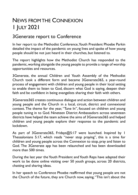# NEWS FROM THE CONNEXION 1 JULY 2021

### 3Generate report to Conference

In her report to the Methodist Conference, Youth President Phoebe Parkin detailed the impact of the pandemic on young lives and spoke of how young people should be not just heard in their churches, but listened to.

The report highlights how the Methodist Church has responded to the pandemic, working alongside the young people to provide a range of worship opportunities and resources.

3Generate, the annual Children and Youth Assembly of the Methodist Church took a different form and became 3Generate365, a year-round process of engagement with children and young people in their local setting to enable them to listen to God, discern what God is saying, deepen their faith and be confident in being evangelists sharing their faith with others.

3Generate365 creates continuous dialogue and action between children and young people and the Church in a local, circuit, district and connexional context. The theme for the year, "Tune In", focused on children and young people tuning in to God. Nineteen District Ambassadors across seventeen districts have helped the team achieve the aims of 3Generate365 and helped children and young people explore their response to the pandemic and lockdown.

As part of 3Generate365, Fridays@5:17 were launched. Inspired by 1 Thessalonians 5:17, which reads "never stop praying", this is a time for children and young people across the Connexion to stop, pray and listen to God. The 3Generate app has been relaunched and has been downloaded more than 500 times.

During the last year the Youth President and Youth Reps have adapted their work to be done online visiting over 50 youth groups, across 20 districts, chatting and sharing ideas.

In her speech to Conference Phoebe reaffirmed that young people are not the Church of the future, they are Church now, saying, "This isn't about the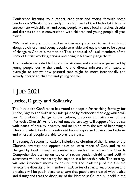Conference listening to a report each year and voting through some resolutions. Whilst this is a really important part of the Methodist Church's engagement with children and young people, we need local churches, circuits and districts to be in conversation with children and young people all year round.

"We need every church member within every context to work with and alongside children and young people to enable and equip them to be agents of change as God calls them to be. This is about all of us, all members of the Body of Christ, working, praying and being in fellowship together."

The Conference voted to lament the stresses and traumas experienced by young people during the pandemic and directs ministers with pastoral oversight to review how pastoral care might be more intentionally and actively offered to children and young people.

# 1 JULY 2021

### Justice, Dignity and Solidarity

The Methodist Conference has voted to adopt a far-reaching Strategy for Justice, Dignity and Solidarity, underpinned by Methodist theology, which will see "a profound change in the culture, practices and attitudes of the Methodist Church". As it is rolled out, the strategy will support Methodists with issues of equality, diversity and inclusion, with the aim of becoming a Church in which God's unconditional love is expressed in word and actions and where all people are able to play their part.

The strategy's recommendations include a celebration of the richness of the Church's diversity and opportunities to learn more of God, and to be changed by God through encounter with each other across the Church. Comprehensive training on topics of racism, gender, disability and LGBT+ awareness will be mandatory for anyone in a leadership role. The strategy will also introduce moves to ensure that the leadership of the Church reflects the diversity of its membership. A series of structures, processes and practices will be put in place to ensure that people are treated with justice and dignity and that the discipline of the Methodist Church is upheld in the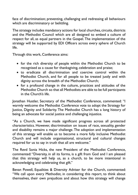face of discrimination; preventing, challenging and redressing all behaviours which are discriminatory or belittling.

The strategy includes mandatory actions for local churches, circuits, districts and the Methodist Council which are all designed to embed a culture of respect for all, as equal partners in the Gospel. The implementation of the strategy will be supported by EDI Officers across every sphere of Church life.

Through this work, Conference aims:

- for the rich diversity of people within the Methodist Church to be recognised as a cause for thanksgiving, celebration and praise;
- to eradicate all discrimination and coercive control within the Methodist Church, and for all people to be treated justly and with dignity across the breadth of the Methodist Church;
- for a profound change in the culture, practices and attitudes of the Methodist Church so that all Methodists are able to be full participants in the Church's life.

Jonathan Hustler, Secretary of the Methodist Conference, commented: "I warmly welcome the Methodist Conference vote to adopt the Strategy for Justice, Dignity and Solidarity. The Methodist Church has a long history of being an advocate for social justice and challenging injustice.

"As a Church, we have made significant progress across all protected characteristics. However, discrimination on issues of race, sexuality, gender and disability remains a major challenge. The adoption and implementation of this strategy will enable us to become a more fully inclusive Methodist Church and will include organisational, structural and cultural changes required for us to say in truth that all are welcome."

The Revd Sonia Hicks, the new President of the Methodist Conference, commented: "Diversity, in all its forms, is a gift from God and I am pleased that this strategy will help us, as a church, to be more intentional in acknowledging and celebrating that gift."

Bevan Powell, Equalities & Diversity Adviser for the Church, commented: "We call upon every Methodist, in considering this report, to think about themselves, their own prejudices and about how this strategy will change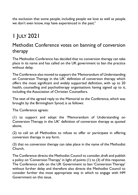the exclusion that some people, including people we love as well as people we don't even know, may have experienced in the past."

# 1 JULY 2021

### Methodist Conference votes on banning of conversion therapy

The Methodist Conference has decided that no conversion therapy can take place in its name and has called on the UK government to ban the practice without delay.

The Conference also moved to support the 'Memorandum of Understanding on Conversion Therapy in the UK' definition of conversion therapy which offers the most significant and widely supported definition, with up to 20 health, counselling and psychotherapy organisations having signed up to it, including the Association of Christian Counsellors.

The text of the agreed reply to the Memorial to the Conference, which was brought by the Birmingham Synod, is as follows:

The Conference agrees:

(1) to support and adopt the 'Memorandum of Understanding on Conversion Therapy in the UK' definition of conversion therapy as quoted above,

(2) to call on all Methodists to refuse to offer or participate in offering conversion therapy in any form.

(3) that no conversion therapy can take place in the name of the Methodist Church.

The Conference directs the Methodist Council to consider, draft and publish a policy on 'Conversion Therapy' in light of points (1) to (3) of this response. The Conference calls on the UK Government to ban 'Conversion Therapy' without further delay and therefore also directs the Methodist Council to consider further the most appropriate way in which to engage with HM Government on this issue.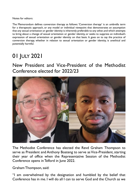Notes for editors:

The Memorandum defines conversion therapy as follows: 'Conversion therapy' is an umbrella term for a therapeutic approach, or any model or individual viewpoint that demonstrates an assumption that any sexual orientation or gender identity is inherently preferable to any other, and which attempts to bring about a change of sexual orientation or gender identity, or seeks to suppress an individual's expression of sexual orientation or gender identity on that basis. It goes on to say the practice of conversion therapy, whether in relation to sexual orientation or gender identity, is unethical and potentially harmful.

# 01 JULY 2021

New President and Vice-President of the Methodist Conference elected for 2022/23



The Methodist Conference has elected the Revd Graham Thompson to serve as President and Anthony Boateng to serve as Vice-President, starting their year of office when the Representative Session of the Methodist Conference opens in Telford in June 2022.

Graham Thompson, said:

"I am overwhelmed by the designation and humbled by the belief that Conference has in me. I will do all I can to serve God and the Church as we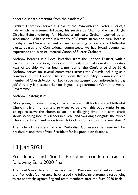discern our path, emerging from the pandemic."

Graham Thompson serves as Chair of the Plymouth and Exeter District, a role which he assumed following his service as Chair of the East Anglia District. Before offering for Methodist ministry, Graham worked as an accountant. He has served in a variety of Circuits, urban and rural, both as Presbyter and Superintendent as well as serving on variety of Methodist trusts, boards and Connexional committees. He has broad ecumenical experience and is an ecumenical Canon of Exeter Cathedral.

Anthony Boateng is a Local Preacher from the London District, with a passion for social action, politics, church unity, spiritual revival and creative ways of worship. He has been a member of the Conference since 2014. Anthony serves on several committees across the Church including as a convenor of the London District Social Responsibility Commission and member of Church Action for Tax Justice management committee. In his 'day job' Anthony is a caseworker for Ingeus - a government Work and Health Programme.

Anthony Boateng said:

"As a young Ghanaian immigrant who has spent all his life in the Methodist Church, it is an honour and privilege to be given this opportunity by my siblings to serve the church at such a challenging time. I am enthusiastic about stepping into this leadership role, and working alongside the whole Church to discern and move towards God's vision for us in the year ahead."

The role of President of the Methodist Conference is reserved for presbyters and that of Vice-President for lay people or deacons.

# 13 JULY 2021

### Presidency and Youth President condemn racism following Euro 2020 final

The Revd Sonia Hicks and Barbara Easton, President and Vice-President of the Methodist Conference, have issued the following statement responding to racist attacks against England team members after the Euro 2020 final: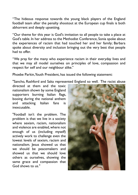"The hideous response towards the young black players of the England football team after the penalty shootout at the European cup finals is both abhorrent and deeply upsetting.

"Our theme for this year is God's invitation to all people to take a place at God's table. In her address to the Methodist Conference, Sonia spoke about the experiences of racism that had touched her and her family; Barbara spoke about diversity and inclusion bringing out the very best that people had to offer.

"We pray for the many who experience racism in their everyday lives and that we may all model ourselves on principles of love, compassion and respect for self and our neighbour alike."

Phoebe Parkin, Youth President, has issued the following statement:

"Sancho, Rashford and Saka represented England so well. The racist abuse

directed at them and the toxic nationalism shown by some England supporters burning Italian flags, booing during the national anthem and attacking Italian fans is inexcusable.

"Football isn't the problem. The problem is that we live in a society where sexism, racism, nationalism and violence are enabled, where not enough of us (including myself) actively work to challenge even the lowest levels of sexism, racism and nationalism. Jesus showed us that we should be peacemakers and showed us that we should love others as ourselves, showing the same grace and compassion that God shows to us."

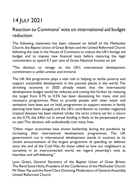# 14 JULY 2021

### Reaction to Commons' vote on international aid budget reduction

The following statement has been released on behalf of the Methodist Church, the Baptist Union of Great Britain and the United Reformed Church following the vote in the House of Commons to reduce the UK's foreign aid budget and to impose new financial tests before restoring the legal commitment to spend 0.7 per cent of Gross National Income on aid:

"The decision to renege on the UK's international development commitment is unfair, unwise and immoral.

The UK Aid programme plays a vital role in helping to tackle poverty and support sustainable development in the poorest places in the world. The shrinking economy in 2020 already meant that the international development budget would be reduced, and cutting this further by reducing the target from 0.7% to 0.5% has been devastating for many vital and necessary programmes. Plans to provide people with clean water and sanitation have been put on hold, programmes to support women in family planning have been savaged, and the UK's contribution to combat neglected tropical diseases has been slashed. Under the strict criteria set for a return to the 0.7%, the £4bn cut in annual funding is likely to be perpetuated year on year. This decision will undoubtedly cost many lives.

"Other major economies have shown leadership during the pandemic by increasing their international development programmes. The UK government's cut in international development stands in contrast to its recent announcement of the largest programme of spending on defence since the end of the Cold War. As those called to love our neighbours as ourselves in an interconnected world, we regard yesterday's vote as heartless and self-defeating."

Lynn Green, General Secretary of the Baptist Union of Great Britain The Revd Sonia Hicks, President of the Conference of the Methodist Church Mr Peter Pay and the Revd Clare Downing, Moderators of General Assembly, United Reformed Church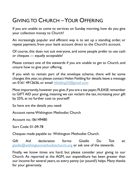### GIVING TO CHURCH –YOUR OFFERING

If you are unable to come to services on Sunday morning, how do you give your collection money to Church?

An increasingly popular and efficient way is to set up a standing order, or repeat payment, from your bank account direct to the Church's account.

Of course, this does not suit everyone, and some people prefer to use cash or cheques --- equally acceptable!

Please contact one of the stewards if you are unable to get to Church, and unsure how to give your offering.

If you wish to remain part of the envelope scheme, there will be some changes this year, so please contact Helen Fielding for details: leave a message on 0161 4912636, or email [hfielding23@gmail.com](mailto:hfielding23@gmail.com)

Most importantly, however you give, if you are a tax payer, PLEASE remember to GIFT AID your giving, meaning we can reclaim the tax, increasing your gift by 25%, at no further cost to yourself!

So here are the details you need:

Account name:Withington Methodist Church

Account no.: 06149480

Sort Code: 01-09-78

Cheques made payable to: Withington Methodist Church.

Gift Aid declaration forms: Giselle Du Toit at: [giselle@withingtonmethodistchurch.org](mailto:giselle@withingtonmethodistchurch.org) or ask one of the stewards.

Finally, we know times are hard, but please consider your giving to our Church. As reported at the AGM, our expenditure has been greater than our income for several years, so every penny (or pound!) helps. Many thanks for your generosity.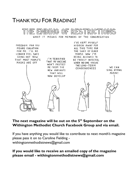### THANK YOU FOR READING!



#### **The next magazine will be out on the 5 th September on the Withington Methodist Church Facebook Group and via email.**

If you have anything you would like to contribute to next month's magazine please pass it on to Caroline Fielding [withingtonmethodistnews@gmail.com](mailto:withingtonmethodistnews@gmail.com)

**If you would like to receive an emailed copy of the magazine please email - [withingtonmethodistnews@gmail.com](mailto:withingtonmethodistnews@gmail.com)**